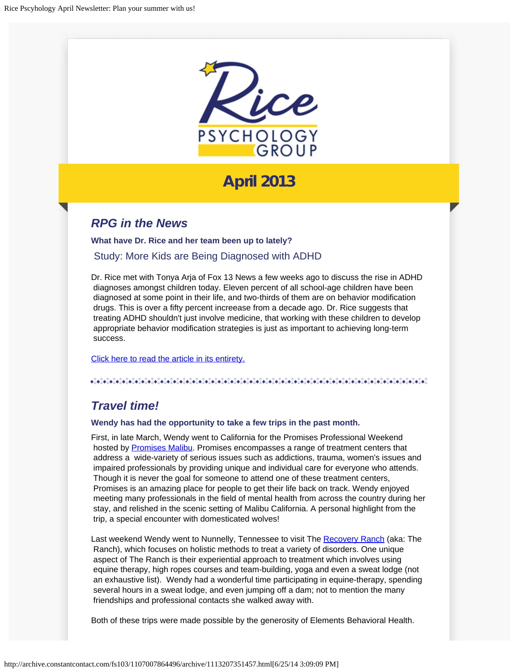

# **April 2013**

## *RPG in the News*

**What have Dr. Rice and her team been up to lately?**

### Study: More Kids are Being Diagnosed with ADHD

Dr. Rice met with Tonya Arja of Fox 13 News a few weeks ago to discuss the rise in ADHD diagnoses amongst children today. Eleven percent of all school-age children have been diagnosed at some point in their life, and two-thirds of them are on behavior modification drugs. This is over a fifty percent increease from a decade ago. Dr. Rice suggests that treating ADHD shouldn't just involve medicine, that working with these children to develop appropriate behavior modification strategies is just as important to achieving long-term success.

[Click here to read the article in its entirety.](http://www.myfoxtampabay.com/story/21848307/2013/04/01/study-says-more-kids-are-being-diagnosed-with-adhd#.UVoh2XjUKIk.email)

## *Travel time!*

#### **Wendy has had the opportunity to take a few trips in the past month.**

First, in late March, Wendy went to California for the Promises Professional Weekend hosted by [Promises Malibu](http://www.promises.com/?infinity=gaw%7EPromises%20Rehab%20Branded%20Terms%7EPromises-%20Brand%20Terms%7E15602796204%7Epromises%20malibu%7Ep&gclid=CIitp-KY6bYCFchM4AodiWwAIQ). Promises encompasses a range of treatment centers that address a wide-variety of serious issues such as addictions, trauma, women's issues and impaired professionals by providing unique and individual care for everyone who attends. Though it is never the goal for someone to attend one of these treatment centers, Promises is an amazing place for people to get their life back on track. Wendy enjoyed meeting many professionals in the field of mental health from across the country during her stay, and relished in the scenic setting of Malibu California. A personal highlight from the trip, a special encounter with domesticated wolves!

Last weekend Wendy went to Nunnelly, Tennessee to visit The [Recovery Ranch](http://www.recoveryranch.com/) (aka: The Ranch), which focuses on holistic methods to treat a variety of disorders. One unique aspect of The Ranch is their experiential approach to treatment which involves using equine therapy, high ropes courses and team-building, yoga and even a sweat lodge (not an exhaustive list). Wendy had a wonderful time participating in equine-therapy, spending several hours in a sweat lodge, and even jumping off a dam; not to mention the many friendships and professional contacts she walked away with.

Both of these trips were made possible by the generosity of Elements Behavioral Health.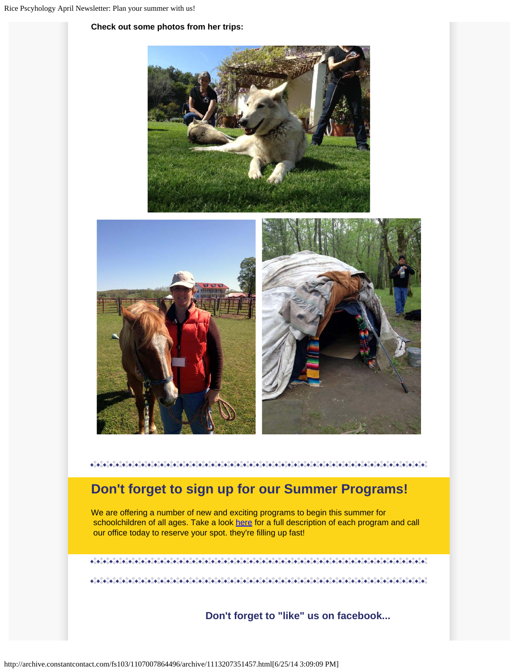





# **Don't forget to sign up for our Summer Programs!**

We are offering a number of new and exciting programs to begin this summer for schoolchildren of all ages. Take a look [here](http://ricepsychology.com/wp-content/uploads/Rice-Files-4-pages.pdf) for a full description of each program and call our office today to reserve your spot. they're filling up fast!

**Don't forget to "like" us on facebook...**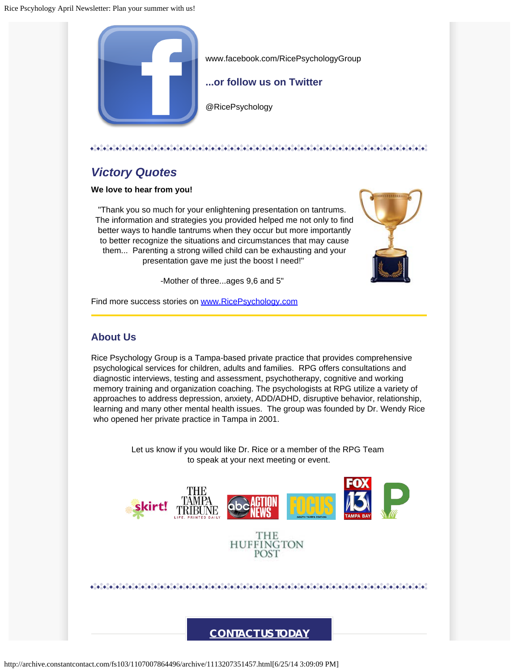

# *Victory Quotes*

#### **We love to hear from you!**

"Thank you so much for your enlightening presentation on tantrums. The information and strategies you provided helped me not only to find better ways to handle tantrums when they occur but more importantly to better recognize the situations and circumstances that may cause them... Parenting a strong willed child can be exhausting and your presentation gave me just the boost I need!"



Find more success stories on [www.RicePsychology.com](http://ricepsychology.com/success-stories/)

### **About Us**

Rice Psychology Group is a Tampa-based private practice that provides comprehensive psychological services for children, adults and families. RPG offers consultations and diagnostic interviews, testing and assessment, psychotherapy, cognitive and working memory training and organization coaching. The psychologists at RPG utilize a variety of approaches to address depression, anxiety, ADD/ADHD, disruptive behavior, relationship, learning and many other mental health issues. The group was founded by Dr. Wendy Rice who opened her private practice in Tampa in 2001.

> Let us know if you would like Dr. Rice or a member of the RPG Team to speak at your next meeting or event.



### **[CONTACT US TODAY](http://ricepsychology.com/how-to-reach-us/locationoffice-info/)**